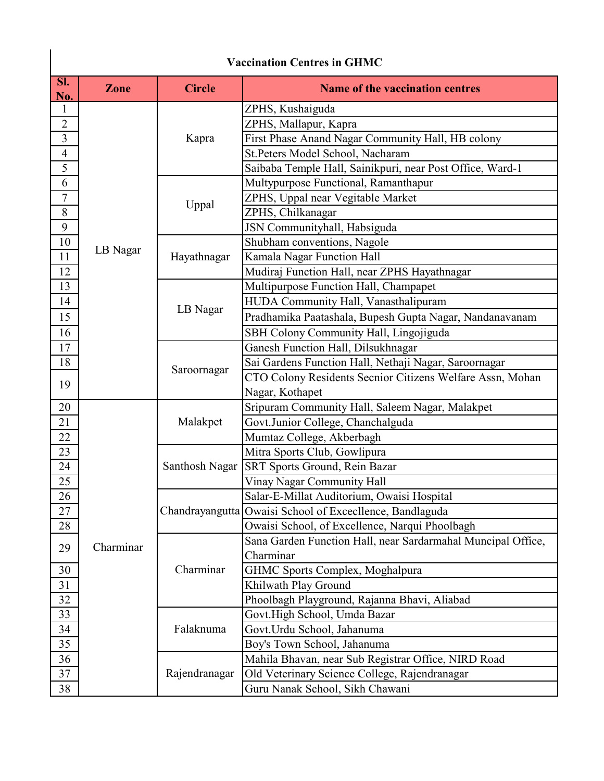|                | <b>Vaccination Centres in GHMC</b> |                |                                                              |  |  |  |
|----------------|------------------------------------|----------------|--------------------------------------------------------------|--|--|--|
| SI.<br>No.     | Zone                               | <b>Circle</b>  | <b>Name of the vaccination centres</b>                       |  |  |  |
| 1              |                                    |                | ZPHS, Kushaiguda                                             |  |  |  |
| $\overline{2}$ |                                    | Kapra          | ZPHS, Mallapur, Kapra                                        |  |  |  |
| 3              |                                    |                | First Phase Anand Nagar Community Hall, HB colony            |  |  |  |
| $\overline{4}$ |                                    |                | St.Peters Model School, Nacharam                             |  |  |  |
| 5              |                                    |                | Saibaba Temple Hall, Sainikpuri, near Post Office, Ward-1    |  |  |  |
| 6              |                                    | Uppal          | Multypurpose Functional, Ramanthapur                         |  |  |  |
| 7              |                                    |                | ZPHS, Uppal near Vegitable Market                            |  |  |  |
| 8              |                                    |                | ZPHS, Chilkanagar                                            |  |  |  |
| 9              |                                    |                | JSN Communityhall, Habsiguda                                 |  |  |  |
| 10             |                                    |                | Shubham conventions, Nagole                                  |  |  |  |
| 11             | LB Nagar                           | Hayathnagar    | Kamala Nagar Function Hall                                   |  |  |  |
| 12             |                                    |                | Mudiraj Function Hall, near ZPHS Hayathnagar                 |  |  |  |
| 13             |                                    |                | Multipurpose Function Hall, Champapet                        |  |  |  |
| 14             |                                    |                | HUDA Community Hall, Vanasthalipuram                         |  |  |  |
| 15             |                                    | LB Nagar       | Pradhamika Paatashala, Bupesh Gupta Nagar, Nandanavanam      |  |  |  |
| 16             |                                    |                | SBH Colony Community Hall, Lingojiguda                       |  |  |  |
| 17             |                                    | Saroornagar    | Ganesh Function Hall, Dilsukhnagar                           |  |  |  |
| 18             |                                    |                | Sai Gardens Function Hall, Nethaji Nagar, Saroornagar        |  |  |  |
|                |                                    |                | CTO Colony Residents Secnior Citizens Welfare Assn, Mohan    |  |  |  |
| 19             |                                    |                | Nagar, Kothapet                                              |  |  |  |
| 20             |                                    |                | Sripuram Community Hall, Saleem Nagar, Malakpet              |  |  |  |
| 21             |                                    | Malakpet       | Govt.Junior College, Chanchalguda                            |  |  |  |
| 22             |                                    |                | Mumtaz College, Akberbagh                                    |  |  |  |
| 23             |                                    |                | Mitra Sports Club, Gowlipura                                 |  |  |  |
| 24             |                                    | Santhosh Nagar | <b>SRT Sports Ground, Rein Bazar</b>                         |  |  |  |
| 25             |                                    |                | Vinay Nagar Community Hall                                   |  |  |  |
| 26             |                                    |                | Salar-E-Millat Auditorium, Owaisi Hospital                   |  |  |  |
| 27             |                                    |                | Chandrayangutta Owaisi School of Excecllence, Bandlaguda     |  |  |  |
| 28             |                                    |                | Owaisi School, of Excellence, Narqui Phoolbagh               |  |  |  |
| 29             | Charminar                          |                | Sana Garden Function Hall, near Sardarmahal Muncipal Office, |  |  |  |
|                |                                    | Charminar      | Charminar                                                    |  |  |  |
| 30             |                                    |                | GHMC Sports Complex, Moghalpura                              |  |  |  |
| 31             |                                    |                | Khilwath Play Ground                                         |  |  |  |
| 32             |                                    |                | Phoolbagh Playground, Rajanna Bhavi, Aliabad                 |  |  |  |
| 33             |                                    | Falaknuma      | Govt.High School, Umda Bazar                                 |  |  |  |
| 34             |                                    |                | Govt.Urdu School, Jahanuma                                   |  |  |  |
| 35             |                                    |                | Boy's Town School, Jahanuma                                  |  |  |  |
| 36             |                                    | Rajendranagar  | Mahila Bhavan, near Sub Registrar Office, NIRD Road          |  |  |  |
| 37             |                                    |                | Old Veterinary Science College, Rajendranagar                |  |  |  |
| 38             |                                    |                | Guru Nanak School, Sikh Chawani                              |  |  |  |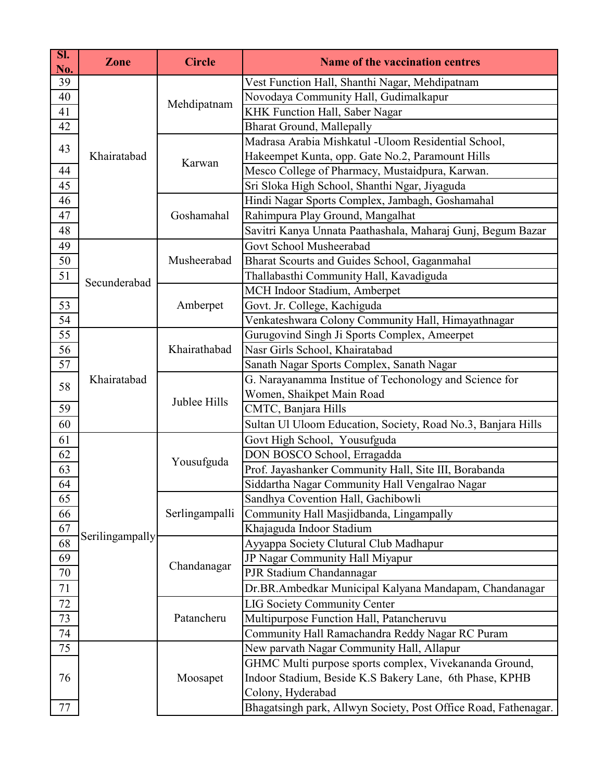| SI.<br>No. | <b>Zone</b>     | <b>Circle</b>  | Name of the vaccination centres                                 |
|------------|-----------------|----------------|-----------------------------------------------------------------|
| 39         |                 | Mehdipatnam    | Vest Function Hall, Shanthi Nagar, Mehdipatnam                  |
| 40         |                 |                | Novodaya Community Hall, Gudimalkapur                           |
| 41         |                 |                | KHK Function Hall, Saber Nagar                                  |
| 42         |                 |                | <b>Bharat Ground, Mallepally</b>                                |
| 43         |                 | Karwan         | Madrasa Arabia Mishkatul -Uloom Residential School,             |
|            | Khairatabad     |                | Hakeempet Kunta, opp. Gate No.2, Paramount Hills                |
| 44         |                 |                | Mesco College of Pharmacy, Mustaidpura, Karwan.                 |
| 45         |                 |                | Sri Sloka High School, Shanthi Ngar, Jiyaguda                   |
| 46         |                 | Goshamahal     | Hindi Nagar Sports Complex, Jambagh, Goshamahal                 |
| 47         |                 |                | Rahimpura Play Ground, Mangalhat                                |
| 48         |                 |                | Savitri Kanya Unnata Paathashala, Maharaj Gunj, Begum Bazar     |
| 49         |                 | Musheerabad    | Govt School Musheerabad                                         |
| 50         |                 |                | Bharat Scourts and Guides School, Gaganmahal                    |
| 51         | Secunderabad    |                | Thallabasthi Community Hall, Kavadiguda                         |
|            |                 |                | MCH Indoor Stadium, Amberpet                                    |
| 53         |                 | Amberpet       | Govt. Jr. College, Kachiguda                                    |
| 54         |                 |                | Venkateshwara Colony Community Hall, Himayathnagar              |
| 55         |                 |                | Gurugovind Singh Ji Sports Complex, Ameerpet                    |
| 56         |                 | Khairathabad   | Nasr Girls School, Khairatabad                                  |
| 57         |                 |                | Sanath Nagar Sports Complex, Sanath Nagar                       |
| 58         | Khairatabad     |                | G. Narayanamma Institue of Techonology and Science for          |
|            |                 | Jublee Hills   | Women, Shaikpet Main Road                                       |
| 59         |                 |                | CMTC, Banjara Hills                                             |
| 60         |                 |                | Sultan Ul Uloom Education, Society, Road No.3, Banjara Hills    |
| 61         |                 |                | Govt High School, Yousufguda                                    |
| 62         |                 | Yousufguda     | DON BOSCO School, Erragadda                                     |
| 63         |                 |                | Prof. Jayashanker Community Hall, Site III, Borabanda           |
| 64         |                 |                | Siddartha Nagar Community Hall Vengalrao Nagar                  |
| 65         |                 | Serlingampalli | Sandhya Covention Hall, Gachibowli                              |
| 66         |                 |                | Community Hall Masjidbanda, Lingampally                         |
| 67         | Serilingampally |                | Khajaguda Indoor Stadium                                        |
| 68         |                 | Chandanagar    | Ayyappa Society Clutural Club Madhapur                          |
| 69         |                 |                | JP Nagar Community Hall Miyapur                                 |
| 70         |                 |                | PJR Stadium Chandannagar                                        |
| 71         |                 |                | Dr.BR.Ambedkar Municipal Kalyana Mandapam, Chandanagar          |
| 72         |                 | Patancheru     | <b>LIG Society Community Center</b>                             |
| 73         |                 |                | Multipurpose Function Hall, Patancheruvu                        |
| 74         |                 |                | Community Hall Ramachandra Reddy Nagar RC Puram                 |
| 75         |                 | Moosapet       | New parvath Nagar Community Hall, Allapur                       |
|            |                 |                | GHMC Multi purpose sports complex, Vivekananda Ground,          |
| 76         |                 |                | Indoor Stadium, Beside K.S Bakery Lane, 6th Phase, KPHB         |
|            |                 |                | Colony, Hyderabad                                               |
| 77         |                 |                | Bhagatsingh park, Allwyn Society, Post Office Road, Fathenagar. |